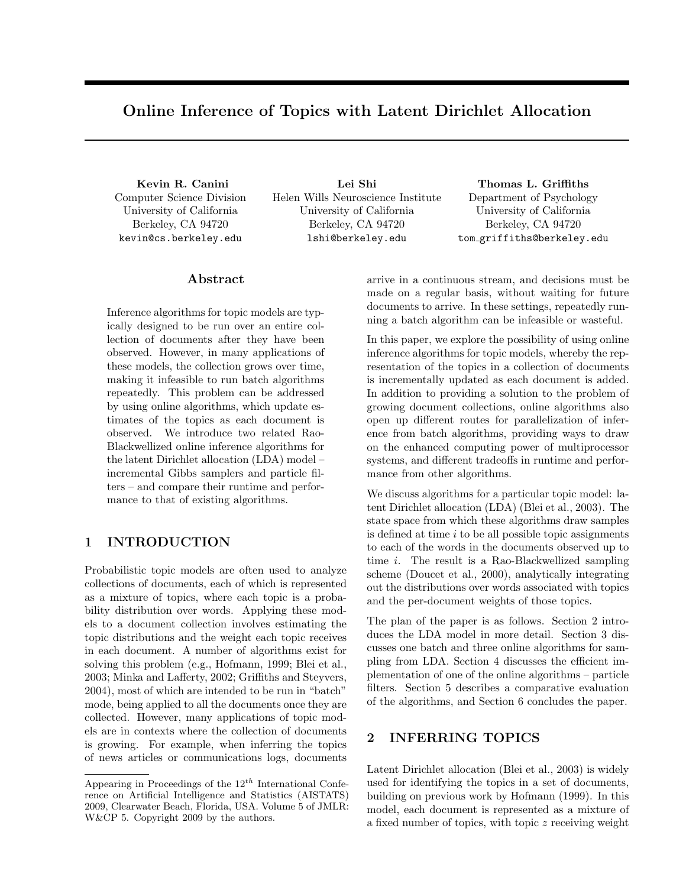# Online Inference of Topics with Latent Dirichlet Allocation

Kevin R. Canini Computer Science Division University of California Berkeley, CA 94720 kevin@cs.berkeley.edu

Lei Shi Helen Wills Neuroscience Institute University of California Berkeley, CA 94720 lshi@berkeley.edu

Thomas L. Griffiths Department of Psychology University of California Berkeley, CA 94720 tom griffiths@berkeley.edu

## Abstract

Inference algorithms for topic models are typically designed to be run over an entire collection of documents after they have been observed. However, in many applications of these models, the collection grows over time, making it infeasible to run batch algorithms repeatedly. This problem can be addressed by using online algorithms, which update estimates of the topics as each document is observed. We introduce two related Rao-Blackwellized online inference algorithms for the latent Dirichlet allocation (LDA) model – incremental Gibbs samplers and particle filters – and compare their runtime and performance to that of existing algorithms.

## 1 INTRODUCTION

Probabilistic topic models are often used to analyze collections of documents, each of which is represented as a mixture of topics, where each topic is a probability distribution over words. Applying these models to a document collection involves estimating the topic distributions and the weight each topic receives in each document. A number of algorithms exist for solving this problem (e.g., Hofmann, 1999; Blei et al., 2003; Minka and Lafferty, 2002; Griffiths and Steyvers, 2004), most of which are intended to be run in "batch" mode, being applied to all the documents once they are collected. However, many applications of topic models are in contexts where the collection of documents is growing. For example, when inferring the topics of news articles or communications logs, documents arrive in a continuous stream, and decisions must be made on a regular basis, without waiting for future documents to arrive. In these settings, repeatedly running a batch algorithm can be infeasible or wasteful.

In this paper, we explore the possibility of using online inference algorithms for topic models, whereby the representation of the topics in a collection of documents is incrementally updated as each document is added. In addition to providing a solution to the problem of growing document collections, online algorithms also open up different routes for parallelization of inference from batch algorithms, providing ways to draw on the enhanced computing power of multiprocessor systems, and different tradeoffs in runtime and performance from other algorithms.

We discuss algorithms for a particular topic model: latent Dirichlet allocation (LDA) (Blei et al., 2003). The state space from which these algorithms draw samples is defined at time  $i$  to be all possible topic assignments to each of the words in the documents observed up to time i. The result is a Rao-Blackwellized sampling scheme (Doucet et al., 2000), analytically integrating out the distributions over words associated with topics and the per-document weights of those topics.

The plan of the paper is as follows. Section 2 introduces the LDA model in more detail. Section 3 discusses one batch and three online algorithms for sampling from LDA. Section 4 discusses the efficient implementation of one of the online algorithms – particle filters. Section 5 describes a comparative evaluation of the algorithms, and Section 6 concludes the paper.

## 2 INFERRING TOPICS

Latent Dirichlet allocation (Blei et al., 2003) is widely used for identifying the topics in a set of documents, building on previous work by Hofmann (1999). In this model, each document is represented as a mixture of a fixed number of topics, with topic z receiving weight

Appearing in Proceedings of the  $12^{th}$  International Conference on Artificial Intelligence and Statistics (AISTATS) 2009, Clearwater Beach, Florida, USA. Volume 5 of JMLR: W&CP 5. Copyright 2009 by the authors.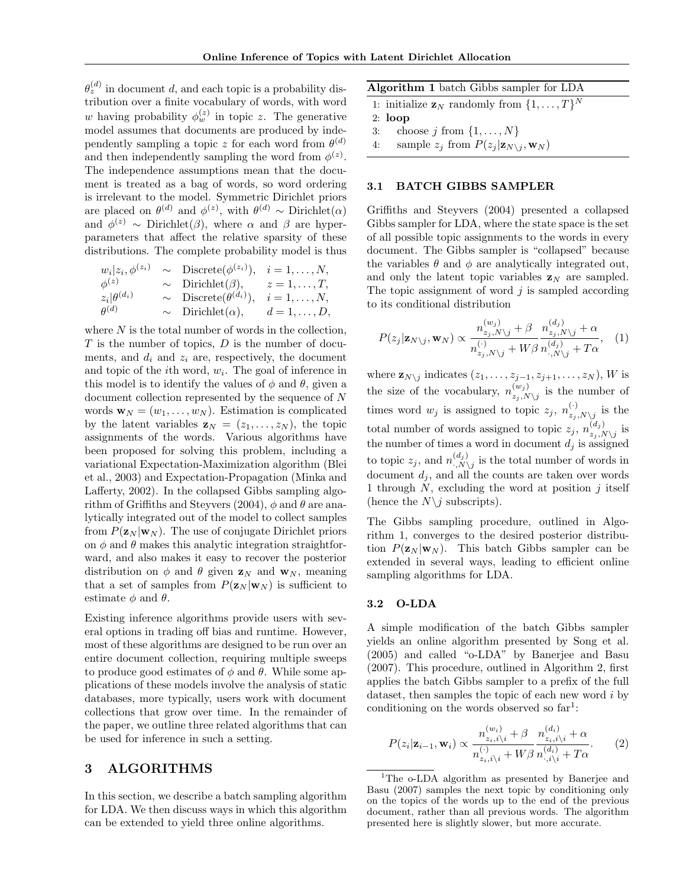$\theta_z^{(d)}$  in document d, and each topic is a probability distribution over a finite vocabulary of words, with word w having probability  $\phi_w^{(z)}$  in topic z. The generative model assumes that documents are produced by independently sampling a topic z for each word from  $\theta^{(d)}$ and then independently sampling the word from  $\phi^{(z)}$ . The independence assumptions mean that the document is treated as a bag of words, so word ordering is irrelevant to the model. Symmetric Dirichlet priors are placed on  $\theta^{(d)}$  and  $\phi^{(z)}$ , with  $\theta^{(d)} \sim$  Dirichlet $(\alpha)$ and  $\phi^{(z)} \sim$  Dirichlet( $\beta$ ), where  $\alpha$  and  $\beta$  are hyperparameters that affect the relative sparsity of these distributions. The complete probability model is thus

$$
w_i|z_i, \phi^{(z_i)} \sim \text{Discrete}(\phi^{(z_i)}), \quad i = 1, ..., N, \n\phi^{(z)} \sim \text{Dirichlet}(\beta), \quad z = 1, ..., T, \nz_i|\theta^{(d_i)} \sim \text{Discrete}(\theta^{(d_i)}), \quad i = 1, ..., N, \n\theta^{(d)} \sim \text{Dirichlet}(\alpha), \quad d = 1, ..., D,
$$

where  $N$  is the total number of words in the collection,  $T$  is the number of topics,  $D$  is the number of documents, and  $d_i$  and  $z_i$  are, respectively, the document and topic of the *i*<sup>th</sup> word,  $w_i$ . The goal of inference in this model is to identify the values of  $\phi$  and  $\theta$ , given a document collection represented by the sequence of N words  $\mathbf{w}_N = (w_1, \dots, w_N)$ . Estimation is complicated by the latent variables  $\mathbf{z}_N = (z_1, \ldots, z_N)$ , the topic assignments of the words. Various algorithms have been proposed for solving this problem, including a variational Expectation-Maximization algorithm (Blei et al., 2003) and Expectation-Propagation (Minka and Lafferty, 2002). In the collapsed Gibbs sampling algorithm of Griffiths and Steyvers (2004),  $\phi$  and  $\theta$  are analytically integrated out of the model to collect samples from  $P(\mathbf{z}_N | \mathbf{w}_N)$ . The use of conjugate Dirichlet priors on  $\phi$  and  $\theta$  makes this analytic integration straightforward, and also makes it easy to recover the posterior distribution on  $\phi$  and  $\theta$  given  $\mathbf{z}_N$  and  $\mathbf{w}_N$ , meaning that a set of samples from  $P(\mathbf{z}_N | \mathbf{w}_N)$  is sufficient to estimate  $\phi$  and  $\theta$ .

Existing inference algorithms provide users with several options in trading off bias and runtime. However, most of these algorithms are designed to be run over an entire document collection, requiring multiple sweeps to produce good estimates of  $\phi$  and  $\theta$ . While some applications of these models involve the analysis of static databases, more typically, users work with document collections that grow over time. In the remainder of the paper, we outline three related algorithms that can be used for inference in such a setting.

## 3 ALGORITHMS

In this section, we describe a batch sampling algorithm for LDA. We then discuss ways in which this algorithm can be extended to yield three online algorithms.

| Algorithm 1 batch Gibbs sampler for LDA                       |  |
|---------------------------------------------------------------|--|
| 1: initialize $\mathbf{z}_N$ randomly from $\{1,\ldots,T\}^N$ |  |
| $2: \; \textbf{loop}$                                         |  |
| 3: choose <i>j</i> from $\{1, \ldots, N\}$                    |  |

4: sample  $z_j$  from  $P(z_j | \mathbf{z}_{N\setminus j}, \mathbf{w}_N)$ 

#### 3.1 BATCH GIBBS SAMPLER

Griffiths and Steyvers (2004) presented a collapsed Gibbs sampler for LDA, where the state space is the set of all possible topic assignments to the words in every document. The Gibbs sampler is "collapsed" because the variables  $\theta$  and  $\phi$  are analytically integrated out, and only the latent topic variables  $z_N$  are sampled. The topic assignment of word  $j$  is sampled according to its conditional distribution

$$
P(z_j|\mathbf{z}_{N\setminus j}, \mathbf{w}_N) \propto \frac{n_{z_j, N\setminus j}^{(w_j)} + \beta}{n_{z_j, N\setminus j}^{(\cdot)} + W\beta} \frac{n_{z_j, N\setminus j}^{(d_j)} + \alpha}{n_{\cdot, N\setminus j}^{(d_j)} + T\alpha}, \quad (1)
$$

where  $\mathbf{z}_{N\setminus j}$  indicates  $(z_1,\ldots,z_{j-1},z_{j+1},\ldots,z_N)$ , W is the size of the vocabulary,  $n_{\text{y}}^{(w_j)}$  $\sum_{z_j,N\setminus j}^{(w_j)}$  is the number of times word  $w_j$  is assigned to topic  $z_j$ ,  $n_{z_i}^{(\cdot)}$  $\sum_{z_j,N\setminus j}^{\setminus}$  is the total number of words assigned to topic  $z_j$ ,  $n_{z_i}^{(d_j)}$  $\sum_{z_j,N\setminus j}^{(a_j)}$  is the number of times a word in document  $d_i$  is assigned to topic  $z_j$ , and  $n_{N}^{(d_j)}$  $\binom{a_j}{N}$  is the total number of words in document  $d_i$ , and all the counts are taken over words 1 through  $N$ , excluding the word at position  $j$  itself (hence the  $N\backslash j$  subscripts).

The Gibbs sampling procedure, outlined in Algorithm 1, converges to the desired posterior distribution  $P(\mathbf{z}_N | \mathbf{w}_N)$ . This batch Gibbs sampler can be extended in several ways, leading to efficient online sampling algorithms for LDA.

#### 3.2 O-LDA

A simple modification of the batch Gibbs sampler yields an online algorithm presented by Song et al. (2005) and called "o-LDA" by Banerjee and Basu (2007). This procedure, outlined in Algorithm 2, first applies the batch Gibbs sampler to a prefix of the full dataset, then samples the topic of each new word i by conditioning on the words observed so  $far<sup>1</sup>$ :

$$
P(z_i|\mathbf{z}_{i-1}, \mathbf{w}_i) \propto \frac{n_{z_i, i \backslash i}^{(w_i)} + \beta}{n_{z_i, i \backslash i}^{(\cdot)} + W\beta} \frac{n_{z_i, i \backslash i}^{(d_i)} + \alpha}{n_{\cdot, i \backslash i}^{(d_i)} + T\alpha}.
$$
 (2)

<sup>&</sup>lt;sup>1</sup>The o-LDA algorithm as presented by Banerjee and Basu (2007) samples the next topic by conditioning only on the topics of the words up to the end of the previous document, rather than all previous words. The algorithm presented here is slightly slower, but more accurate.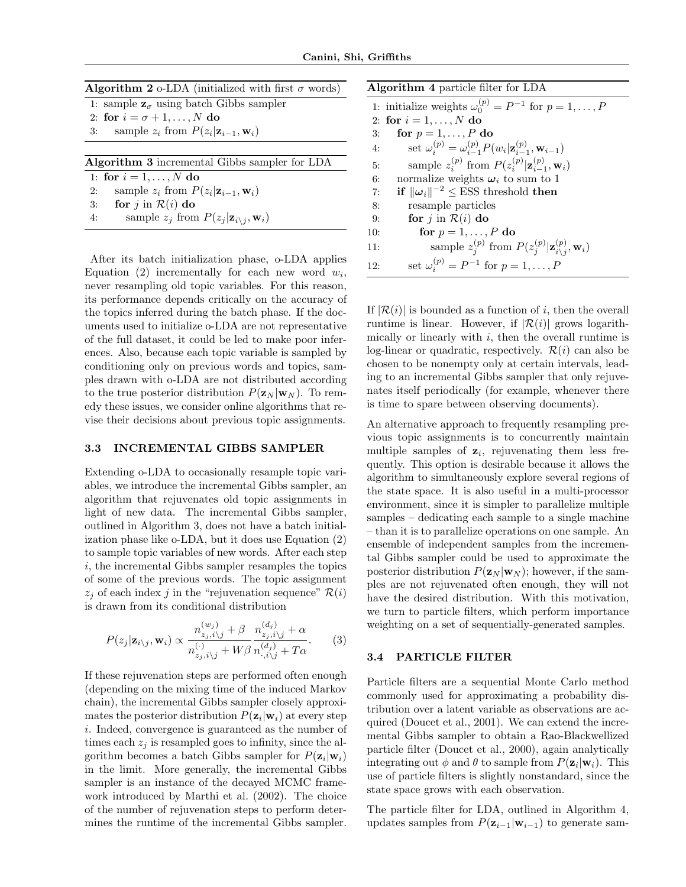| <b>Algorithm 2</b> o-LDA (initialized with first $\sigma$ words) |  |  |  |  |  |  |
|------------------------------------------------------------------|--|--|--|--|--|--|
| 1: sample $\mathbf{z}_{\sigma}$ using batch Gibbs sampler        |  |  |  |  |  |  |
| 2: for $i = \sigma + 1, \ldots, N$ do                            |  |  |  |  |  |  |
| 3: sample $z_i$ from $P(z_i \mathbf{z}_{i-1}, \mathbf{w}_i)$     |  |  |  |  |  |  |
|                                                                  |  |  |  |  |  |  |
|                                                                  |  |  |  |  |  |  |
| <b>Algorithm 3</b> incremental Gibbs sampler for LDA             |  |  |  |  |  |  |
| 1: for $i = 1, , N$ do                                           |  |  |  |  |  |  |
| sample $z_i$ from $P(z_i \mathbf{z}_{i-1}, \mathbf{w}_i)$<br>2:  |  |  |  |  |  |  |
| 3: for $j$ in $\mathcal{R}(i)$ do                                |  |  |  |  |  |  |

After its batch initialization phase, o-LDA applies Equation (2) incrementally for each new word  $w_i$ , never resampling old topic variables. For this reason, its performance depends critically on the accuracy of the topics inferred during the batch phase. If the documents used to initialize o-LDA are not representative of the full dataset, it could be led to make poor inferences. Also, because each topic variable is sampled by conditioning only on previous words and topics, samples drawn with o-LDA are not distributed according to the true posterior distribution  $P(\mathbf{z}_N | \mathbf{w}_N)$ . To remedy these issues, we consider online algorithms that revise their decisions about previous topic assignments.

### 3.3 INCREMENTAL GIBBS SAMPLER

Extending o-LDA to occasionally resample topic variables, we introduce the incremental Gibbs sampler, an algorithm that rejuvenates old topic assignments in light of new data. The incremental Gibbs sampler, outlined in Algorithm 3, does not have a batch initialization phase like o-LDA, but it does use Equation (2) to sample topic variables of new words. After each step  $i$ , the incremental Gibbs sampler resamples the topics of some of the previous words. The topic assignment  $z_i$  of each index j in the "rejuvenation sequence"  $\mathcal{R}(i)$ is drawn from its conditional distribution

$$
P(z_j|\mathbf{z}_{i\backslash j}, \mathbf{w}_i) \propto \frac{n_{z_j, i\backslash j}^{(w_j)} + \beta}{n_{z_j, i\backslash j}^{(\cdot)} + W\beta} \frac{n_{z_j, i\backslash j}^{(d_j)} + \alpha}{n_{\cdot, i\backslash j}^{(d_j)} + T\alpha}.
$$
 (3)

If these rejuvenation steps are performed often enough (depending on the mixing time of the induced Markov chain), the incremental Gibbs sampler closely approximates the posterior distribution  $P(\mathbf{z}_i|\mathbf{w}_i)$  at every step i. Indeed, convergence is guaranteed as the number of times each  $z_i$  is resampled goes to infinity, since the algorithm becomes a batch Gibbs sampler for  $P(\mathbf{z}_i|\mathbf{w}_i)$ in the limit. More generally, the incremental Gibbs sampler is an instance of the decayed MCMC framework introduced by Marthi et al. (2002). The choice of the number of rejuvenation steps to perform determines the runtime of the incremental Gibbs sampler.

| <b>Algorithm 4</b> particle filter for LDA |                                                                                             |  |  |  |  |  |
|--------------------------------------------|---------------------------------------------------------------------------------------------|--|--|--|--|--|
|                                            | 1: initialize weights $\omega_0^{(p)} = P^{-1}$ for $p = 1, \ldots, P$                      |  |  |  |  |  |
|                                            | 2: for $i = 1, , N$ do                                                                      |  |  |  |  |  |
| 3:                                         | for $p = 1, \ldots, P$ do                                                                   |  |  |  |  |  |
| 4:                                         | set $\omega_i^{(p)} = \omega_{i-1}^{(p)} P(w_i   \mathbf{z}_{i-1}^{(p)}, \mathbf{w}_{i-1})$ |  |  |  |  |  |
| 5:                                         | sample $z_i^{(p)}$ from $P(z_i^{(p)}   \mathbf{z}_{i-1}^{(p)}, \mathbf{w}_i)$               |  |  |  |  |  |
| 6:                                         | normalize weights $\omega_i$ to sum to 1                                                    |  |  |  |  |  |
| 7:                                         | if $\ \omega_i\ ^{-2} \leq \text{ESS}$ threshold then                                       |  |  |  |  |  |
| 8:                                         | resample particles                                                                          |  |  |  |  |  |
| 9:                                         | for j in $\mathcal{R}(i)$ do                                                                |  |  |  |  |  |
| 10:                                        | for $p = 1, \ldots, P$ do                                                                   |  |  |  |  |  |
| 11:                                        | sample $z_i^{(p)}$ from $P(z_j^{(p)}   \mathbf{z}_{i \setminus j}^{(p)}, \mathbf{w}_i)$     |  |  |  |  |  |
| 12:                                        | set $\omega_i^{(p)} = P^{-1}$ for $p = 1, , P$                                              |  |  |  |  |  |

If  $|\mathcal{R}(i)|$  is bounded as a function of i, then the overall runtime is linear. However, if  $|\mathcal{R}(i)|$  grows logarithmically or linearly with  $i$ , then the overall runtime is log-linear or quadratic, respectively.  $\mathcal{R}(i)$  can also be chosen to be nonempty only at certain intervals, leading to an incremental Gibbs sampler that only rejuvenates itself periodically (for example, whenever there is time to spare between observing documents).

An alternative approach to frequently resampling previous topic assignments is to concurrently maintain multiple samples of  $z_i$ , rejuvenating them less frequently. This option is desirable because it allows the algorithm to simultaneously explore several regions of the state space. It is also useful in a multi-processor environment, since it is simpler to parallelize multiple samples – dedicating each sample to a single machine – than it is to parallelize operations on one sample. An ensemble of independent samples from the incremental Gibbs sampler could be used to approximate the posterior distribution  $P(\mathbf{z}_N | \mathbf{w}_N)$ ; however, if the samples are not rejuvenated often enough, they will not have the desired distribution. With this motivation, we turn to particle filters, which perform importance weighting on a set of sequentially-generated samples.

#### 3.4 PARTICLE FILTER

Particle filters are a sequential Monte Carlo method commonly used for approximating a probability distribution over a latent variable as observations are acquired (Doucet et al., 2001). We can extend the incremental Gibbs sampler to obtain a Rao-Blackwellized particle filter (Doucet et al., 2000), again analytically integrating out  $\phi$  and  $\theta$  to sample from  $P(\mathbf{z}_i|\mathbf{w}_i)$ . This use of particle filters is slightly nonstandard, since the state space grows with each observation.

The particle filter for LDA, outlined in Algorithm 4, updates samples from  $P(\mathbf{z}_{i-1}|\mathbf{w}_{i-1})$  to generate sam-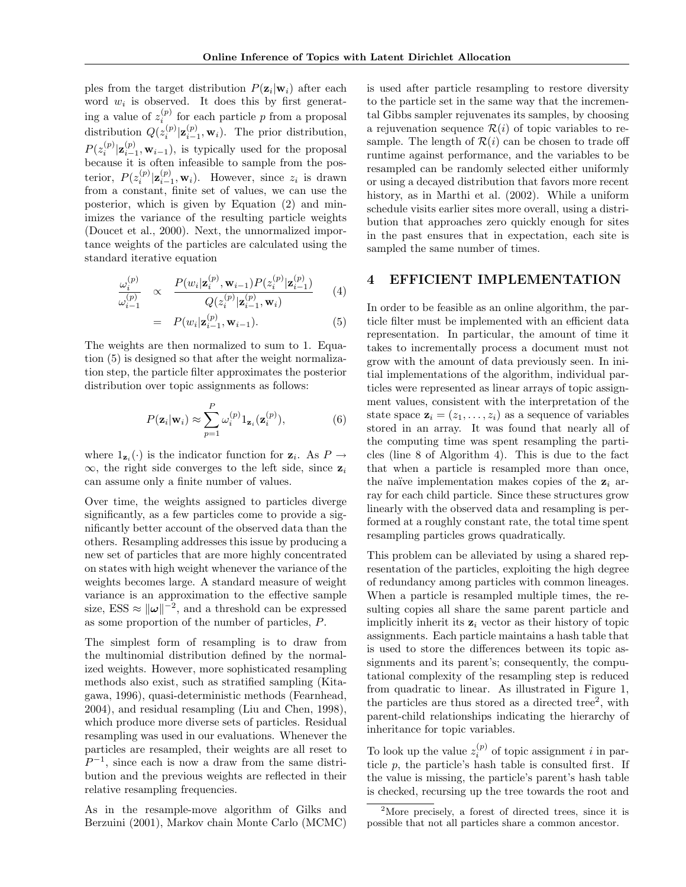ples from the target distribution  $P(\mathbf{z}_i|\mathbf{w}_i)$  after each word  $w_i$  is observed. It does this by first generating a value of  $z_i^{(p)}$  for each particle p from a proposal distribution  $Q(z_i^{(p)} | \mathbf{z}_{i-1}^{(p)}, \mathbf{w}_i)$ . The prior distribution,  $P(z_i^{(p)}|\mathbf{z}_{i-1}^{(p)}, \mathbf{w}_{i-1}),$  is typically used for the proposal because it is often infeasible to sample from the posterior,  $P(z_i^{(p)}|\mathbf{z}_{i-1}^{(p)}, \mathbf{w}_i)$ . However, since  $z_i$  is drawn from a constant, finite set of values, we can use the posterior, which is given by Equation (2) and minimizes the variance of the resulting particle weights (Doucet et al., 2000). Next, the unnormalized importance weights of the particles are calculated using the standard iterative equation

$$
\frac{\omega_i^{(p)}}{\omega_{i-1}^{(p)}} \propto \frac{P(w_i|\mathbf{z}_i^{(p)}, \mathbf{w}_{i-1}) P(z_i^{(p)}|\mathbf{z}_{i-1}^{(p)})}{Q(z_i^{(p)}|\mathbf{z}_{i-1}^{(p)}, \mathbf{w}_i)} \qquad (4)
$$

$$
= P(w_i|\mathbf{z}_{i-1}^{(p)}, \mathbf{w}_{i-1}). \tag{5}
$$

The weights are then normalized to sum to 1. Equation (5) is designed so that after the weight normalization step, the particle filter approximates the posterior distribution over topic assignments as follows:

$$
P(\mathbf{z}_i|\mathbf{w}_i) \approx \sum_{p=1}^P \omega_i^{(p)} 1_{\mathbf{z}_i}(\mathbf{z}_i^{(p)}),
$$
 (6)

where  $1_{\mathbf{z}_i}(\cdot)$  is the indicator function for  $\mathbf{z}_i$ . As  $P \to$  $\infty$ , the right side converges to the left side, since  $z_i$ can assume only a finite number of values.

Over time, the weights assigned to particles diverge significantly, as a few particles come to provide a significantly better account of the observed data than the others. Resampling addresses this issue by producing a new set of particles that are more highly concentrated on states with high weight whenever the variance of the weights becomes large. A standard measure of weight variance is an approximation to the effective sample size, ESS  $\approx ||\omega||^{-2}$ , and a threshold can be expressed as some proportion of the number of particles, P.

The simplest form of resampling is to draw from the multinomial distribution defined by the normalized weights. However, more sophisticated resampling methods also exist, such as stratified sampling (Kitagawa, 1996), quasi-deterministic methods (Fearnhead, 2004), and residual resampling (Liu and Chen, 1998), which produce more diverse sets of particles. Residual resampling was used in our evaluations. Whenever the particles are resampled, their weights are all reset to  $P^{-1}$ , since each is now a draw from the same distribution and the previous weights are reflected in their relative resampling frequencies.

As in the resample-move algorithm of Gilks and Berzuini (2001), Markov chain Monte Carlo (MCMC)

is used after particle resampling to restore diversity to the particle set in the same way that the incremental Gibbs sampler rejuvenates its samples, by choosing a rejuvenation sequence  $\mathcal{R}(i)$  of topic variables to resample. The length of  $\mathcal{R}(i)$  can be chosen to trade off runtime against performance, and the variables to be resampled can be randomly selected either uniformly or using a decayed distribution that favors more recent history, as in Marthi et al. (2002). While a uniform schedule visits earlier sites more overall, using a distribution that approaches zero quickly enough for sites in the past ensures that in expectation, each site is sampled the same number of times.

## 4 EFFICIENT IMPLEMENTATION

In order to be feasible as an online algorithm, the particle filter must be implemented with an efficient data representation. In particular, the amount of time it takes to incrementally process a document must not grow with the amount of data previously seen. In initial implementations of the algorithm, individual particles were represented as linear arrays of topic assignment values, consistent with the interpretation of the state space  $\mathbf{z}_i = (z_1, \ldots, z_i)$  as a sequence of variables stored in an array. It was found that nearly all of the computing time was spent resampling the particles (line 8 of Algorithm 4). This is due to the fact that when a particle is resampled more than once, the naïve implementation makes copies of the  $z_i$  array for each child particle. Since these structures grow linearly with the observed data and resampling is performed at a roughly constant rate, the total time spent resampling particles grows quadratically.

This problem can be alleviated by using a shared representation of the particles, exploiting the high degree of redundancy among particles with common lineages. When a particle is resampled multiple times, the resulting copies all share the same parent particle and implicitly inherit its  $z_i$  vector as their history of topic assignments. Each particle maintains a hash table that is used to store the differences between its topic assignments and its parent's; consequently, the computational complexity of the resampling step is reduced from quadratic to linear. As illustrated in Figure 1, the particles are thus stored as a directed tree<sup>2</sup>, with parent-child relationships indicating the hierarchy of inheritance for topic variables.

To look up the value  $z_i^{(p)}$  of topic assignment i in particle  $p$ , the particle's hash table is consulted first. If the value is missing, the particle's parent's hash table is checked, recursing up the tree towards the root and

<sup>&</sup>lt;sup>2</sup>More precisely, a forest of directed trees, since it is possible that not all particles share a common ancestor.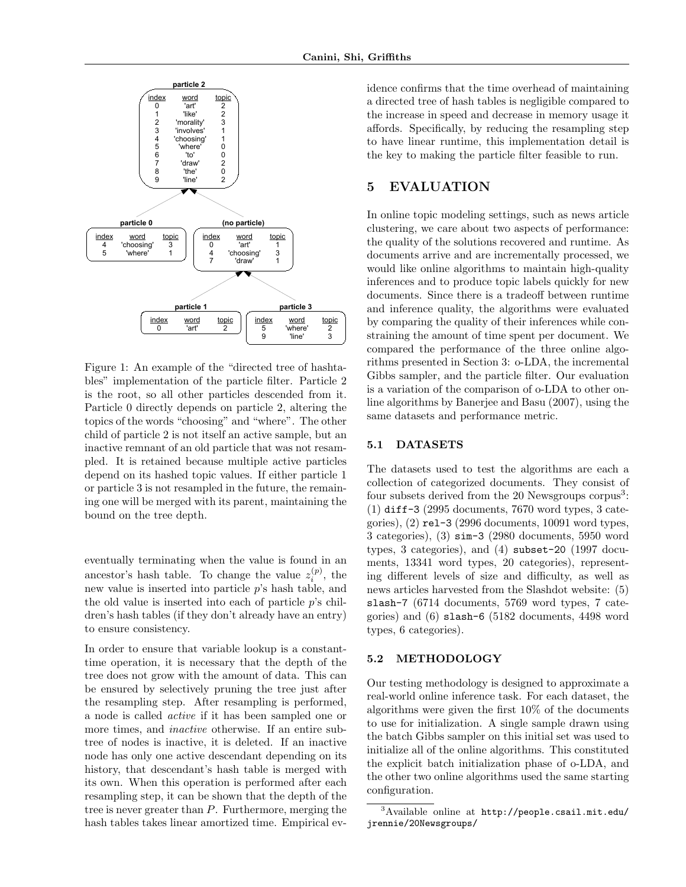

Figure 1: An example of the "directed tree of hashtables" implementation of the particle filter. Particle 2 is the root, so all other particles descended from it. Particle 0 directly depends on particle 2, altering the topics of the words "choosing" and "where". The other child of particle 2 is not itself an active sample, but an inactive remnant of an old particle that was not resampled. It is retained because multiple active particles depend on its hashed topic values. If either particle 1 or particle 3 is not resampled in the future, the remaining one will be merged with its parent, maintaining the bound on the tree depth.

eventually terminating when the value is found in an ancestor's hash table. To change the value  $z_i^{(p)}$ , the new value is inserted into particle p's hash table, and the old value is inserted into each of particle  $p$ 's children's hash tables (if they don't already have an entry) to ensure consistency.

In order to ensure that variable lookup is a constanttime operation, it is necessary that the depth of the tree does not grow with the amount of data. This can be ensured by selectively pruning the tree just after the resampling step. After resampling is performed, a node is called active if it has been sampled one or more times, and *inactive* otherwise. If an entire subtree of nodes is inactive, it is deleted. If an inactive node has only one active descendant depending on its history, that descendant's hash table is merged with its own. When this operation is performed after each resampling step, it can be shown that the depth of the tree is never greater than P. Furthermore, merging the hash tables takes linear amortized time. Empirical evidence confirms that the time overhead of maintaining a directed tree of hash tables is negligible compared to the increase in speed and decrease in memory usage it affords. Specifically, by reducing the resampling step to have linear runtime, this implementation detail is the key to making the particle filter feasible to run.

## 5 EVALUATION

In online topic modeling settings, such as news article clustering, we care about two aspects of performance: the quality of the solutions recovered and runtime. As documents arrive and are incrementally processed, we would like online algorithms to maintain high-quality inferences and to produce topic labels quickly for new documents. Since there is a tradeoff between runtime and inference quality, the algorithms were evaluated by comparing the quality of their inferences while constraining the amount of time spent per document. We compared the performance of the three online algorithms presented in Section 3: o-LDA, the incremental Gibbs sampler, and the particle filter. Our evaluation is a variation of the comparison of o-LDA to other online algorithms by Banerjee and Basu (2007), using the same datasets and performance metric.

### 5.1 DATASETS

The datasets used to test the algorithms are each a collection of categorized documents. They consist of four subsets derived from the 20 Newsgroups corpus<sup>3</sup>: (1) diff-3 (2995 documents, 7670 word types, 3 categories), (2) rel-3 (2996 documents, 10091 word types, 3 categories), (3) sim-3 (2980 documents, 5950 word types, 3 categories), and (4) subset-20 (1997 documents, 13341 word types, 20 categories), representing different levels of size and difficulty, as well as news articles harvested from the Slashdot website: (5) slash-7 (6714 documents, 5769 word types, 7 categories) and (6) slash-6 (5182 documents, 4498 word types, 6 categories).

### 5.2 METHODOLOGY

Our testing methodology is designed to approximate a real-world online inference task. For each dataset, the algorithms were given the first 10% of the documents to use for initialization. A single sample drawn using the batch Gibbs sampler on this initial set was used to initialize all of the online algorithms. This constituted the explicit batch initialization phase of o-LDA, and the other two online algorithms used the same starting configuration.

 $3A$ vailable online at  ${\tt http://people.csail.mit.edu/}$ jrennie/20Newsgroups/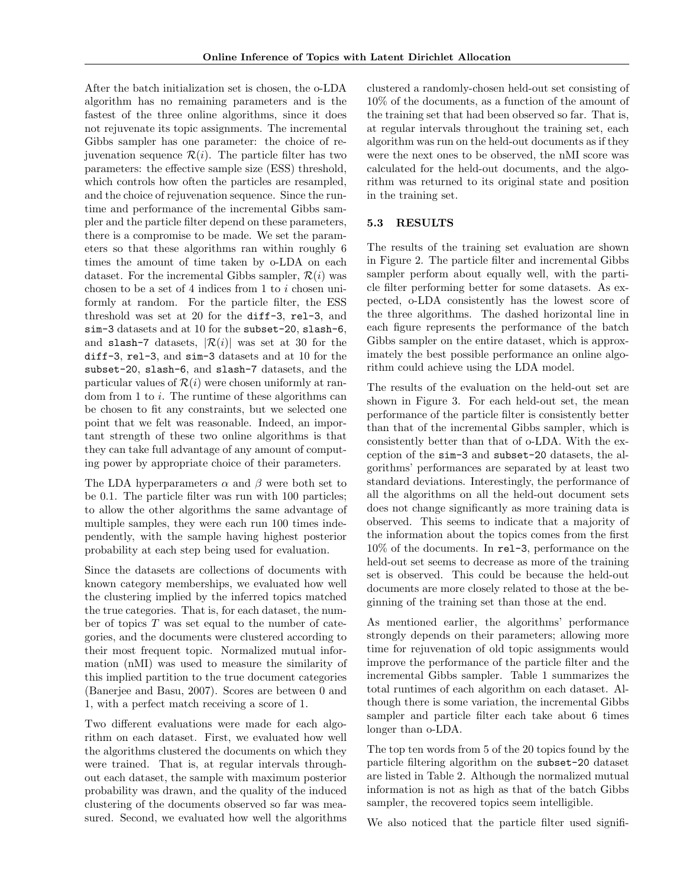After the batch initialization set is chosen, the o-LDA algorithm has no remaining parameters and is the fastest of the three online algorithms, since it does not rejuvenate its topic assignments. The incremental Gibbs sampler has one parameter: the choice of rejuvenation sequence  $\mathcal{R}(i)$ . The particle filter has two parameters: the effective sample size (ESS) threshold, which controls how often the particles are resampled, and the choice of rejuvenation sequence. Since the runtime and performance of the incremental Gibbs sampler and the particle filter depend on these parameters, there is a compromise to be made. We set the parameters so that these algorithms ran within roughly 6 times the amount of time taken by o-LDA on each dataset. For the incremental Gibbs sampler,  $\mathcal{R}(i)$  was chosen to be a set of 4 indices from 1 to i chosen uniformly at random. For the particle filter, the ESS threshold was set at 20 for the diff-3, rel-3, and sim-3 datasets and at 10 for the subset-20, slash-6, and slash-7 datasets,  $|\mathcal{R}(i)|$  was set at 30 for the diff-3, rel-3, and sim-3 datasets and at 10 for the subset-20, slash-6, and slash-7 datasets, and the particular values of  $\mathcal{R}(i)$  were chosen uniformly at random from 1 to i. The runtime of these algorithms can be chosen to fit any constraints, but we selected one point that we felt was reasonable. Indeed, an important strength of these two online algorithms is that they can take full advantage of any amount of computing power by appropriate choice of their parameters.

The LDA hyperparameters  $\alpha$  and  $\beta$  were both set to be 0.1. The particle filter was run with 100 particles; to allow the other algorithms the same advantage of multiple samples, they were each run 100 times independently, with the sample having highest posterior probability at each step being used for evaluation.

Since the datasets are collections of documents with known category memberships, we evaluated how well the clustering implied by the inferred topics matched the true categories. That is, for each dataset, the number of topics  $T$  was set equal to the number of categories, and the documents were clustered according to their most frequent topic. Normalized mutual information (nMI) was used to measure the similarity of this implied partition to the true document categories (Banerjee and Basu, 2007). Scores are between 0 and 1, with a perfect match receiving a score of 1.

Two different evaluations were made for each algorithm on each dataset. First, we evaluated how well the algorithms clustered the documents on which they were trained. That is, at regular intervals throughout each dataset, the sample with maximum posterior probability was drawn, and the quality of the induced clustering of the documents observed so far was measured. Second, we evaluated how well the algorithms

clustered a randomly-chosen held-out set consisting of 10% of the documents, as a function of the amount of the training set that had been observed so far. That is, at regular intervals throughout the training set, each algorithm was run on the held-out documents as if they were the next ones to be observed, the nMI score was calculated for the held-out documents, and the algorithm was returned to its original state and position in the training set.

## 5.3 RESULTS

The results of the training set evaluation are shown in Figure 2. The particle filter and incremental Gibbs sampler perform about equally well, with the particle filter performing better for some datasets. As expected, o-LDA consistently has the lowest score of the three algorithms. The dashed horizontal line in each figure represents the performance of the batch Gibbs sampler on the entire dataset, which is approximately the best possible performance an online algorithm could achieve using the LDA model.

The results of the evaluation on the held-out set are shown in Figure 3. For each held-out set, the mean performance of the particle filter is consistently better than that of the incremental Gibbs sampler, which is consistently better than that of o-LDA. With the exception of the sim-3 and subset-20 datasets, the algorithms' performances are separated by at least two standard deviations. Interestingly, the performance of all the algorithms on all the held-out document sets does not change significantly as more training data is observed. This seems to indicate that a majority of the information about the topics comes from the first 10% of the documents. In rel-3, performance on the held-out set seems to decrease as more of the training set is observed. This could be because the held-out documents are more closely related to those at the beginning of the training set than those at the end.

As mentioned earlier, the algorithms' performance strongly depends on their parameters; allowing more time for rejuvenation of old topic assignments would improve the performance of the particle filter and the incremental Gibbs sampler. Table 1 summarizes the total runtimes of each algorithm on each dataset. Although there is some variation, the incremental Gibbs sampler and particle filter each take about 6 times longer than o-LDA.

The top ten words from 5 of the 20 topics found by the particle filtering algorithm on the subset-20 dataset are listed in Table 2. Although the normalized mutual information is not as high as that of the batch Gibbs sampler, the recovered topics seem intelligible.

We also noticed that the particle filter used signifi-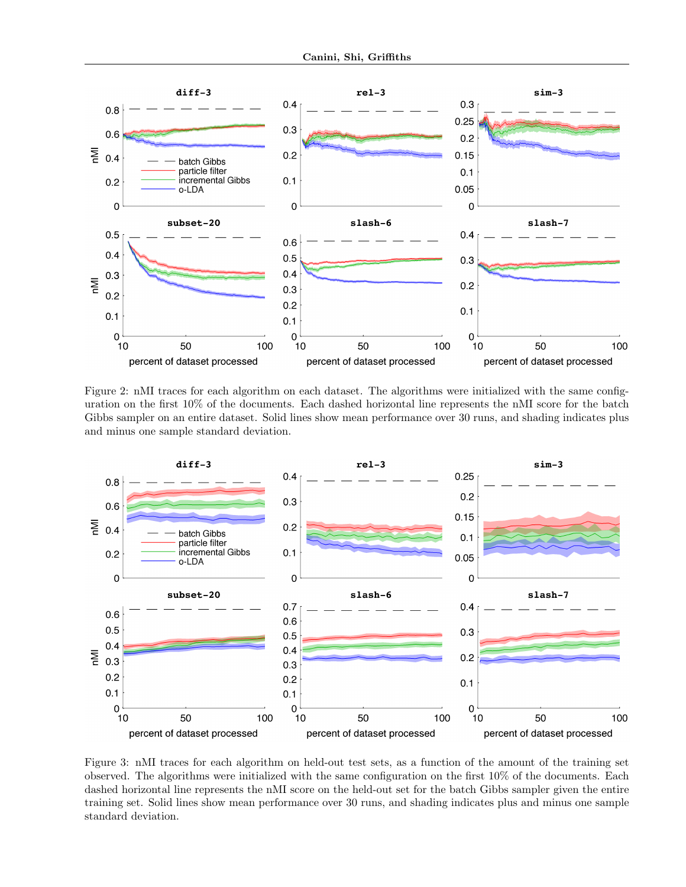

Figure 2: nMI traces for each algorithm on each dataset. The algorithms were initialized with the same configuration on the first 10% of the documents. Each dashed horizontal line represents the nMI score for the batch Gibbs sampler on an entire dataset. Solid lines show mean performance over 30 runs, and shading indicates plus and minus one sample standard deviation.



Figure 3: nMI traces for each algorithm on held-out test sets, as a function of the amount of the training set observed. The algorithms were initialized with the same configuration on the first 10% of the documents. Each dashed horizontal line represents the nMI score on the held-out set for the batch Gibbs sampler given the entire training set. Solid lines show mean performance over 30 runs, and shading indicates plus and minus one sample standard deviation.